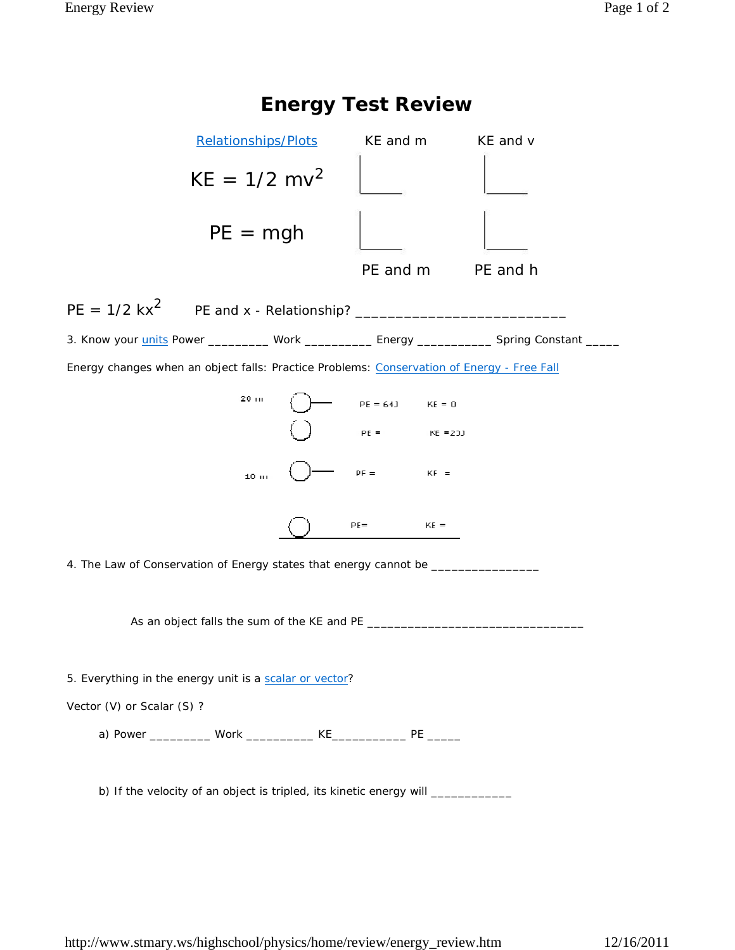